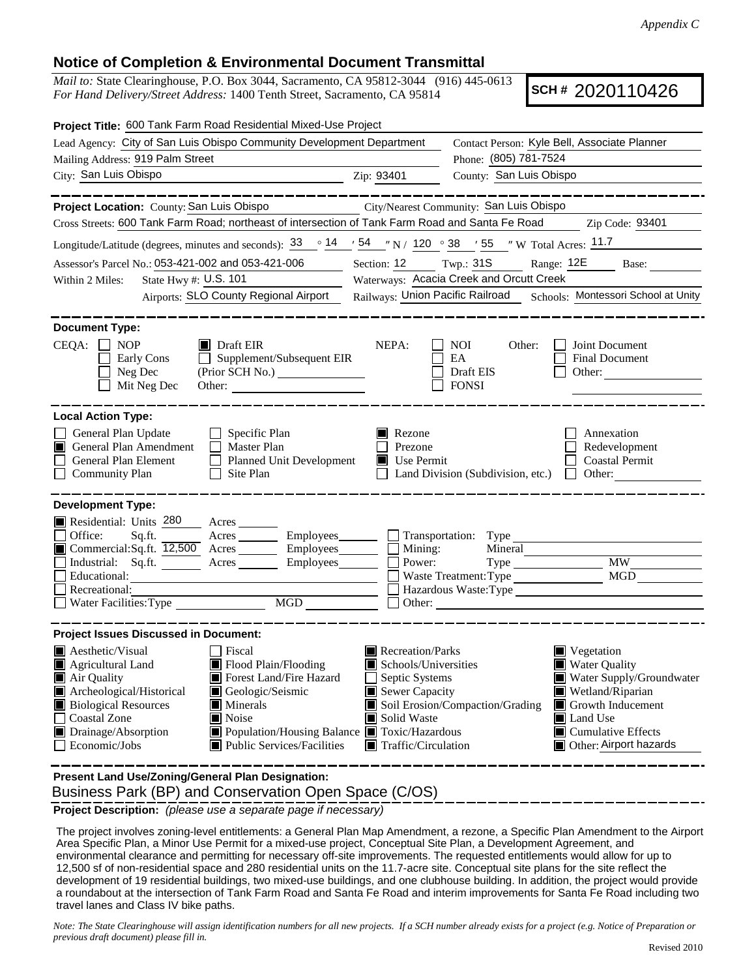## **Notice of Completion & Environmental Document Transmittal**

*Mail to:* State Clearinghouse, P.O. Box 3044, Sacramento, CA 95812-3044 (916) 445-0613 *For Hand Delivery/Street Address:* 1400 Tenth Street, Sacramento, CA 95814

**SCH #** 2020110426

| Project Title: 600 Tank Farm Road Residential Mixed-Use Project                                                                         |                                              |                                                                                 |  |  |  |  |
|-----------------------------------------------------------------------------------------------------------------------------------------|----------------------------------------------|---------------------------------------------------------------------------------|--|--|--|--|
| Lead Agency: City of San Luis Obispo Community Development Department                                                                   | Contact Person: Kyle Bell, Associate Planner |                                                                                 |  |  |  |  |
| Mailing Address: 919 Palm Street                                                                                                        | Phone: (805) 781-7524                        |                                                                                 |  |  |  |  |
| City: San Luis Obispo<br><u> 1989 - Johann Stoff, fransk politik (d. 1989)</u>                                                          | Zip: 93401                                   | County: San Luis Obispo                                                         |  |  |  |  |
| . — — — — — — —                                                                                                                         |                                              | . __ __ __ __ __ __ __ _                                                        |  |  |  |  |
| Project Location: County: San Luis Obispo                                                                                               |                                              | City/Nearest Community: San Luis Obispo                                         |  |  |  |  |
| Cross Streets: 600 Tank Farm Road; northeast of intersection of Tank Farm Road and Santa Fe Road                                        |                                              | Zip Code: 93401                                                                 |  |  |  |  |
| Longitude/Latitude (degrees, minutes and seconds): $33 \degree 14$ / $54 \degree$ N / 120 $\degree 38$ / 55 <i>"W</i> Total Acres: 11.7 |                                              |                                                                                 |  |  |  |  |
| Assessor's Parcel No.: 053-421-002 and 053-421-006 Section: 12 Twp.: 31S Range: 12E Base:                                               |                                              |                                                                                 |  |  |  |  |
| State Hwy #: U.S. 101<br>Within 2 Miles:                                                                                                |                                              | Waterways: Acacia Creek and Orcutt Creek                                        |  |  |  |  |
| Airports: SLO County Regional Airport                                                                                                   |                                              | Railways: Union Pacific Railroad Schools: Montessori School at Unity            |  |  |  |  |
|                                                                                                                                         |                                              |                                                                                 |  |  |  |  |
| <b>Document Type:</b>                                                                                                                   |                                              |                                                                                 |  |  |  |  |
| $CEQA: \Box$<br><b>NOP</b><br>$\blacksquare$ Draft EIR                                                                                  | NEPA:                                        | Joint Document<br>NOI<br>Other:                                                 |  |  |  |  |
| Supplement/Subsequent EIR<br>Early Cons<br>$\mathbb{R}^n$<br>Neg Dec<br>(Prior SCH No.)                                                 |                                              | EA<br>Final Document<br>Draft EIS<br>Other:                                     |  |  |  |  |
| Mit Neg Dec<br>Other:                                                                                                                   |                                              | <b>FONSI</b>                                                                    |  |  |  |  |
|                                                                                                                                         |                                              |                                                                                 |  |  |  |  |
| <b>Local Action Type:</b>                                                                                                               |                                              |                                                                                 |  |  |  |  |
| General Plan Update<br>$\Box$ Specific Plan                                                                                             | Rezone                                       | Annexation                                                                      |  |  |  |  |
| <b>General Plan Amendment</b><br>П<br><b>Master Plan</b><br>П                                                                           | Prezone                                      | Redevelopment                                                                   |  |  |  |  |
| General Plan Element<br>$\Box$ Planned Unit Development                                                                                 | Use Permit<br>Ш                              | <b>Coastal Permit</b>                                                           |  |  |  |  |
| $\Box$ Community Plan<br>$\Box$ Site Plan                                                                                               |                                              | Land Division (Subdivision, etc.) $\Box$ Other:                                 |  |  |  |  |
| <b>Development Type:</b>                                                                                                                |                                              |                                                                                 |  |  |  |  |
| Residential: Units 280<br>Acres                                                                                                         |                                              |                                                                                 |  |  |  |  |
| Office:<br>Sq.ft.<br>Acres Employees                                                                                                    |                                              | $\Box$ Transportation: Type                                                     |  |  |  |  |
| Commercial:Sq.ft. 12,500 Acres Employees                                                                                                |                                              | Mining:<br>Mineral                                                              |  |  |  |  |
| Industrial: Sq.ft.<br>Acres Employees                                                                                                   |                                              | <b>MW</b><br>Power:                                                             |  |  |  |  |
| Educational:                                                                                                                            |                                              | MGD<br>Waste Treatment: Type                                                    |  |  |  |  |
| Recreational:<br>Water Facilities: Type MGD MGD                                                                                         |                                              |                                                                                 |  |  |  |  |
|                                                                                                                                         |                                              |                                                                                 |  |  |  |  |
| <b>Project Issues Discussed in Document:</b>                                                                                            |                                              |                                                                                 |  |  |  |  |
| $\blacksquare$ Aesthetic/Visual<br><b>Fiscal</b>                                                                                        | Recreation/Parks                             | $\blacksquare$ Vegetation                                                       |  |  |  |  |
| Agricultural Land<br>Flood Plain/Flooding                                                                                               |                                              | Schools/Universities<br><b>Water Quality</b>                                    |  |  |  |  |
| Forest Land/Fire Hazard<br>Air Quality                                                                                                  |                                              | Septic Systems<br>Water Supply/Groundwater                                      |  |  |  |  |
| Archeological/Historical<br>Geologic/Seismic                                                                                            |                                              | Sewer Capacity<br>Wetland/Riparian                                              |  |  |  |  |
| <b>Biological Resources</b><br>$\blacksquare$ Minerals<br>■ Noise<br><b>Coastal Zone</b>                                                |                                              | Soil Erosion/Compaction/Grading<br>Growth Inducement<br>Solid Waste<br>Land Use |  |  |  |  |
| Drainage/Absorption<br>■ Population/Housing Balance ■ Toxic/Hazardous                                                                   |                                              | $\blacksquare$ Cumulative Effects                                               |  |  |  |  |
| Economic/Jobs<br>■ Public Services/Facilities                                                                                           | $\blacksquare$ Traffic/Circulation           | Other: Airport hazards                                                          |  |  |  |  |
|                                                                                                                                         |                                              |                                                                                 |  |  |  |  |
| Present Land Use/Zoning/General Plan Designation:                                                                                       |                                              |                                                                                 |  |  |  |  |

Business Park (BP) and Conservation Open Space (C/OS)

**Project Description:** *(please use a separate page if necessary)*

 The project involves zoning-level entitlements: a General Plan Map Amendment, a rezone, a Specific Plan Amendment to the Airport Area Specific Plan, a Minor Use Permit for a mixed-use project, Conceptual Site Plan, a Development Agreement, and environmental clearance and permitting for necessary off-site improvements. The requested entitlements would allow for up to 12,500 sf of non-residential space and 280 residential units on the 11.7-acre site. Conceptual site plans for the site reflect the development of 19 residential buildings, two mixed-use buildings, and one clubhouse building. In addition, the project would provide a roundabout at the intersection of Tank Farm Road and Santa Fe Road and interim improvements for Santa Fe Road including two travel lanes and Class IV bike paths.

*Note: The State Clearinghouse will assign identification numbers for all new projects. If a SCH number already exists for a project (e.g. Notice of Preparation or previous draft document) please fill in.*